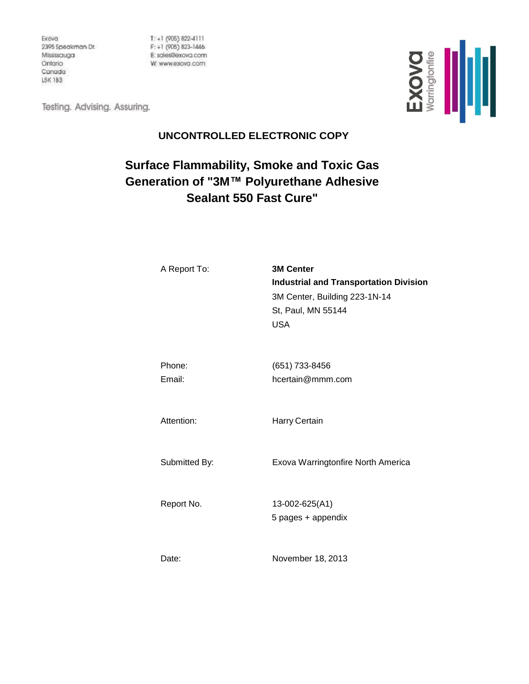Exova 2395 Speakman Dr. Mississauga Ontario Canada L5K 183

 $T: +1$  (905) 822-4111  $F: +1$  (905) 823-1446 E: sales@exova.com W: www.exovo.com

EXOVO<br>Warringtonfre

Testing. Advising. Assuring.

# **UNCONTROLLED ELECTRONIC COPY**

# **Surface Flammability, Smoke and Toxic Gas Generation of "3M™ Polyurethane Adhesive Sealant 550 Fast Cure"**

| A Report To:     | <b>3M Center</b><br><b>Industrial and Transportation Division</b><br>3M Center, Building 223-1N-14<br>St, Paul, MN 55144<br><b>USA</b> |
|------------------|----------------------------------------------------------------------------------------------------------------------------------------|
| Phone:<br>Email: | (651) 733-8456<br>hcertain@mmm.com                                                                                                     |
| Attention:       | Harry Certain                                                                                                                          |
| Submitted By:    | Exova Warringtonfire North America                                                                                                     |
| Report No.       | 13-002-625(A1)<br>5 pages + appendix                                                                                                   |
| Date:            | November 18, 2013                                                                                                                      |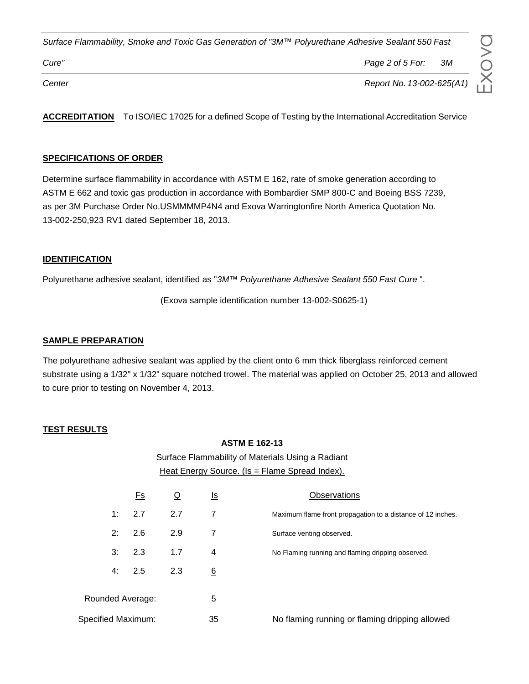*Cure" Page 2 of 5 For: 3M*

*Center Report No. 13-002-625(A1)*

**ACCREDITATION** To ISO/IEC 17025 for a defined Scope of Testing by the International Accreditation Service

#### **SPECIFICATIONS OF ORDER**

Determine surface flammability in accordance with ASTM E 162, rate of smoke generation according to ASTM E 662 and toxic gas production in accordance with Bombardier SMP 800-C and Boeing BSS 7239, as per 3M Purchase Order No.USMMMMP4N4 and Exova Warringtonfire North America Quotation No. 13-002-250,923 RV1 dated September 18, 2013.

#### **IDENTIFICATION**

Polyurethane adhesive sealant, identified as "*3M™ Polyurethane Adhesive Sealant 550 Fast Cure* ".

(Exova sample identification number 13-002-S0625-1)

#### **SAMPLE PREPARATION**

The polyurethane adhesive sealant was applied by the client onto 6 mm thick fiberglass reinforced cement substrate using a 1/32" x 1/32" square notched trowel. The material was applied on October 25, 2013 and allowed to cure prior to testing on November 4, 2013.

#### **TEST RESULTS**

#### **ASTM E 162-13**

Surface Flammability of Materials Using a Radiant Heat Energy Source. (Is = Flame Spread Index).

|                    | <u>Es</u> |     | <u>ls</u> | Observations                                                |
|--------------------|-----------|-----|-----------|-------------------------------------------------------------|
| 1:                 | 2.7       | 2.7 | 7         | Maximum flame front propagation to a distance of 12 inches. |
| 2: 2.6             |           | 2.9 | 7         | Surface venting observed.                                   |
| 3:                 | 2.3       | 1.7 | 4         | No Flaming running and flaming dripping observed.           |
| 4: 2.5             |           | 2.3 | 6         |                                                             |
| Rounded Average:   |           |     | 5         |                                                             |
| Specified Maximum: |           |     | 35        | No flaming running or flaming dripping allowed              |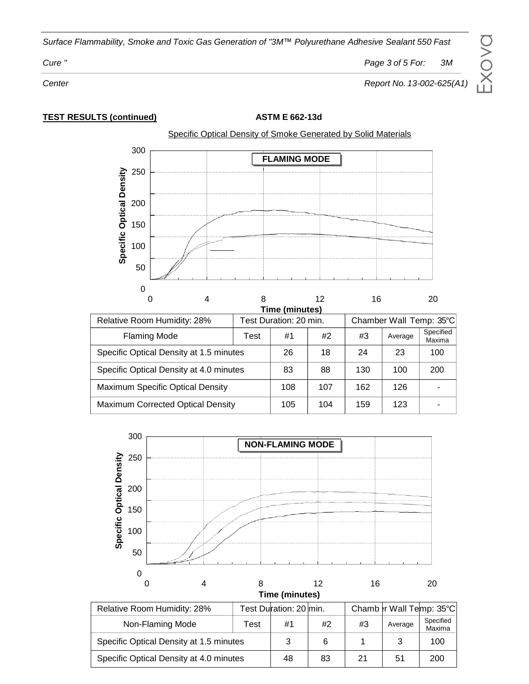*Cure " Page 3 of 5 For: 3M*

 $\Box$  $\times$ o $\gt$  $\bigcirc$ 

*Center Report No. 13-002-625(A1)*

**TEST RESULTS (continued) ASTM E 662-13d**

Specific Optical Density of Smoke Generated by Solid Materials



| <b>i ime (minutes)</b>                   |  |                        |     |                         |         |                     |
|------------------------------------------|--|------------------------|-----|-------------------------|---------|---------------------|
| Relative Room Humidity: 28%              |  | Test Duration: 20 min. |     | Chamber Wall Temp: 35°C |         |                     |
| <b>Flaming Mode</b><br>Test              |  | #1                     | #2  | #3                      | Average | Specified<br>Maxima |
| Specific Optical Density at 1.5 minutes  |  | 26                     | 18  | 24                      | 23      | 100                 |
| Specific Optical Density at 4.0 minutes  |  | 83                     | 88  | 130                     | 100     | 200                 |
| Maximum Specific Optical Density         |  | 108                    | 107 | 162                     | 126     |                     |
| <b>Maximum Corrected Optical Density</b> |  | 105                    | 104 | 159                     | 123     |                     |



|                                         |      | , col Duralion, 20 , ,,,,,,, |    |    | <u>UNUNU VI YYUN TUNU UU U</u> |                     |
|-----------------------------------------|------|------------------------------|----|----|--------------------------------|---------------------|
| Non-Flaming Mode                        | Test | #1                           | #2 | #3 | Average                        | Specified<br>Maxima |
| Specific Optical Density at 1.5 minutes |      |                              |    |    |                                | 100                 |
| Specific Optical Density at 4.0 minutes | 48   | 83                           | 21 | 51 | 200                            |                     |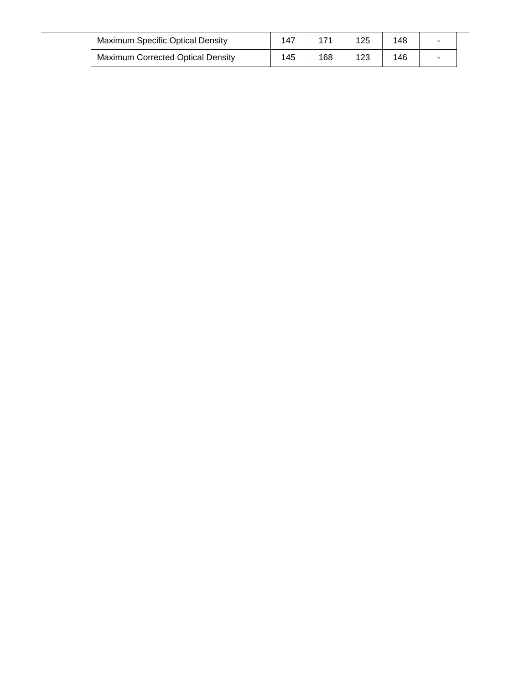| <b>Maximum Specific Optical Density</b>  | 147 |     | 125 | 148 |  |
|------------------------------------------|-----|-----|-----|-----|--|
| <b>Maximum Corrected Optical Density</b> | 145 | 168 | 123 | 146 |  |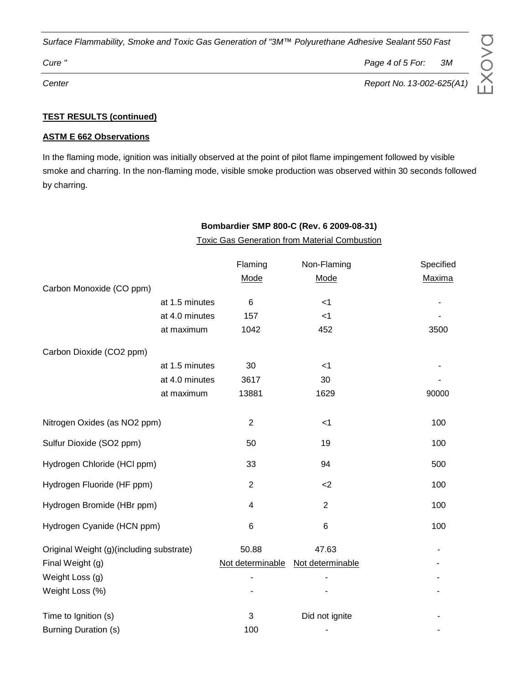*Cure " Page 4 of 5 For: 3M*

#### **TEST RESULTS (continued)**

#### **ASTM E 662 Observations**

In the flaming mode, ignition was initially observed at the point of pilot flame impingement followed by visible smoke and charring. In the non-flaming mode, visible smoke production was observed within 30 seconds followed by charring.

|                                          |                |                                                      | Bombardier SMP 800-C (Rev. 6 2009-08-31) |           |  |  |
|------------------------------------------|----------------|------------------------------------------------------|------------------------------------------|-----------|--|--|
|                                          |                | <b>Toxic Gas Generation from Material Combustion</b> |                                          |           |  |  |
|                                          |                | Flaming                                              | Non-Flaming                              | Specified |  |  |
|                                          |                | Mode                                                 | Mode                                     | Maxima    |  |  |
| Carbon Monoxide (CO ppm)                 |                |                                                      |                                          |           |  |  |
|                                          | at 1.5 minutes | 6                                                    | $<$ 1                                    |           |  |  |
|                                          | at 4.0 minutes | 157                                                  | < 1                                      |           |  |  |
|                                          | at maximum     | 1042                                                 | 452                                      | 3500      |  |  |
| Carbon Dioxide (CO2 ppm)                 |                |                                                      |                                          |           |  |  |
|                                          | at 1.5 minutes | 30                                                   | $<$ 1                                    |           |  |  |
|                                          | at 4.0 minutes | 3617                                                 | 30                                       |           |  |  |
|                                          | at maximum     | 13881                                                | 1629                                     | 90000     |  |  |
| Nitrogen Oxides (as NO2 ppm)             |                | $\overline{2}$                                       | < 1                                      | 100       |  |  |
| Sulfur Dioxide (SO2 ppm)                 |                | 50                                                   | 19                                       | 100       |  |  |
| Hydrogen Chloride (HCl ppm)              |                | 33                                                   | 94                                       | 500       |  |  |
| Hydrogen Fluoride (HF ppm)               |                | $\overline{2}$                                       | $2$                                      | 100       |  |  |
| Hydrogen Bromide (HBr ppm)               |                | 4                                                    | $\overline{2}$                           | 100       |  |  |
| Hydrogen Cyanide (HCN ppm)               |                | 6                                                    | $6\phantom{1}$                           | 100       |  |  |
| Original Weight (g)(including substrate) |                | 50.88                                                | 47.63                                    |           |  |  |
| Final Weight (g)                         |                | Not determinable                                     | Not determinable                         |           |  |  |
| Weight Loss (g)                          |                | ۰                                                    |                                          |           |  |  |
| Weight Loss (%)                          |                |                                                      |                                          |           |  |  |
| Time to Ignition (s)                     |                | 3                                                    | Did not ignite                           |           |  |  |
| <b>Burning Duration (s)</b>              |                | 100                                                  |                                          |           |  |  |

# $B$   $\Omega$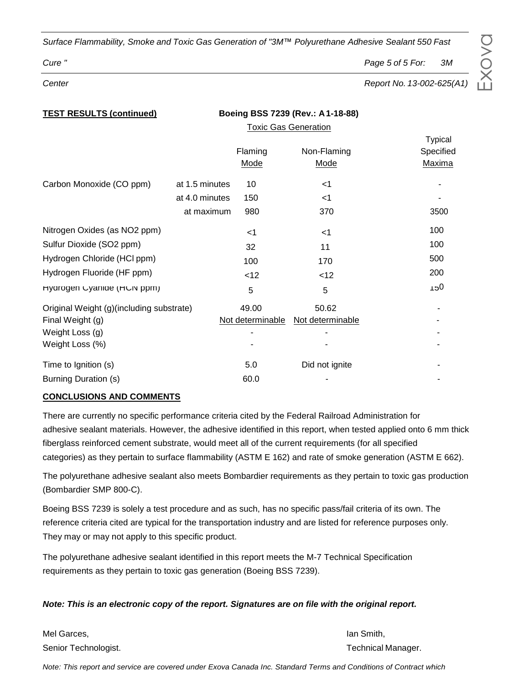# *Cure " Page 5 of 5 For: 3M*

E $\times$ o $\gt$  $\bigcirc$ 

*Center Report No. 13-002-625(A1)*

**Typical** Specified Maxima

|                                          |                |         | <b>Toxic Gas Generation</b> |                 |
|------------------------------------------|----------------|---------|-----------------------------|-----------------|
|                                          |                |         |                             | Typica          |
|                                          |                | Flaming | Non-Flaming                 | Specifie        |
|                                          |                | Mode    | Mode                        | Maxim           |
| Carbon Monoxide (CO ppm)                 | at 1.5 minutes | 10      | $<$ 1                       |                 |
|                                          | at 4.0 minutes | 150     | $<$ 1                       |                 |
|                                          | at maximum     | 980     | 370                         | 3500            |
| Nitrogen Oxides (as NO2 ppm)             |                | $<$ 1   | $<$ 1                       | 100             |
| Sulfur Dioxide (SO2 ppm)                 |                | 32      | 11                          | 100             |
| Hydrogen Chloride (HCl ppm)              |                | 100     | 170                         | 500             |
| Hydrogen Fluoride (HF ppm)               |                | $<$ 12  | $<$ 12                      | 200             |
| Hydrogen Uyanide (HUN ppm)               |                | 5       | 5                           | 0c <sub>1</sub> |
| Original Weight (g)(including substrate) |                | 49.00   | 50.62                       |                 |

**TEST RESULTS (continued) Boeing BSS 7239 (Rev.: A1-18-88)**

| Final Weight (g)     | Not determinable Not determinable |                |   |
|----------------------|-----------------------------------|----------------|---|
| Weight Loss (g)      |                                   |                | - |
| Weight Loss (%)      |                                   |                |   |
| Time to Ignition (s) | 5.0                               | Did not ignite |   |
| Burning Duration (s) | 60.0                              |                |   |

### **CONCLUSIONS AND COMMENTS**

There are currently no specific performance criteria cited by the Federal Railroad Administration for adhesive sealant materials. However, the adhesive identified in this report, when tested applied onto 6 mm thick fiberglass reinforced cement substrate, would meet all of the current requirements (for all specified categories) as they pertain to surface flammability (ASTM E 162) and rate of smoke generation (ASTM E 662).

The polyurethane adhesive sealant also meets Bombardier requirements as they pertain to toxic gas production (Bombardier SMP 800-C).

Boeing BSS 7239 is solely a test procedure and as such, has no specific pass/fail criteria of its own. The reference criteria cited are typical for the transportation industry and are listed for reference purposes only. They may or may not apply to this specific product.

The polyurethane adhesive sealant identified in this report meets the M-7 Technical Specification requirements as they pertain to toxic gas generation (Boeing BSS 7239).

### *Note: This is an electronic copy of the report. Signatures are on file with the original report.*

Mel Garces, Ian Smith, Ian Smith, Ian Smith, Ian Smith, Ian Smith, Ian Smith, Ian Smith, Ian Smith, Ian Smith, Senior Technologist. The contract of the contract of the contract of the contract of the contract of the contract of the contract of the contract of the contract of the contract of the contract of the contract of the contr

*Note: This report and service are covered under Exova Canada Inc. Standard Terms and Conditions of Contract which*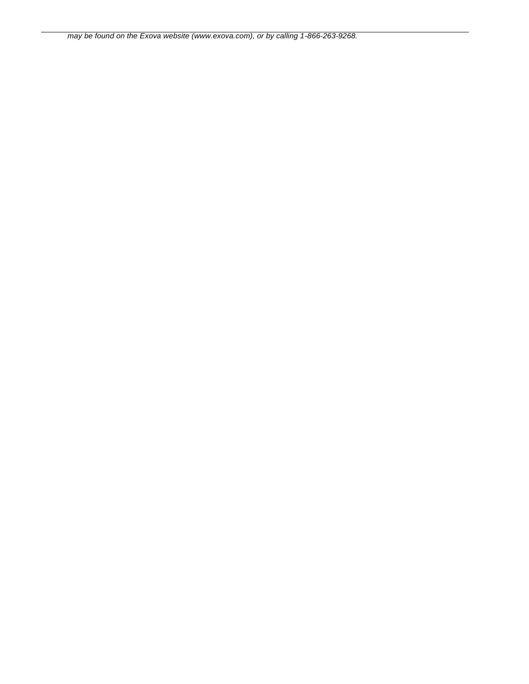*may be found on the Exova website (www.exova.com), or by calling 1-866-263-9268.*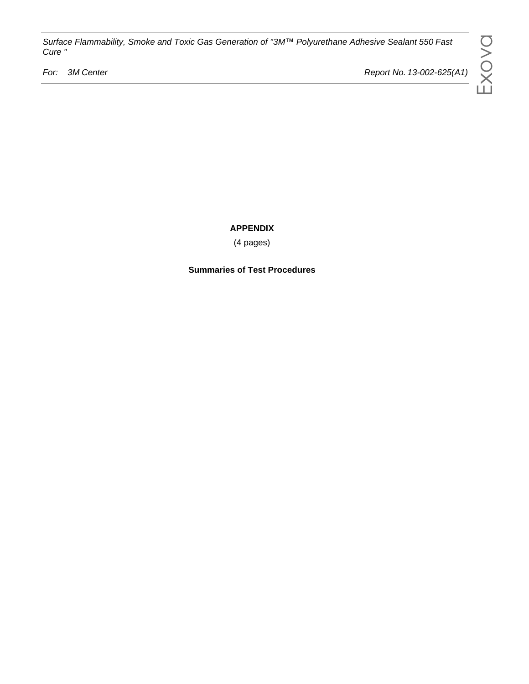*For: 3M Center Report No. 13-002-625(A1)*

**APPENDIX**

(4 pages)

**Summaries of Test Procedures**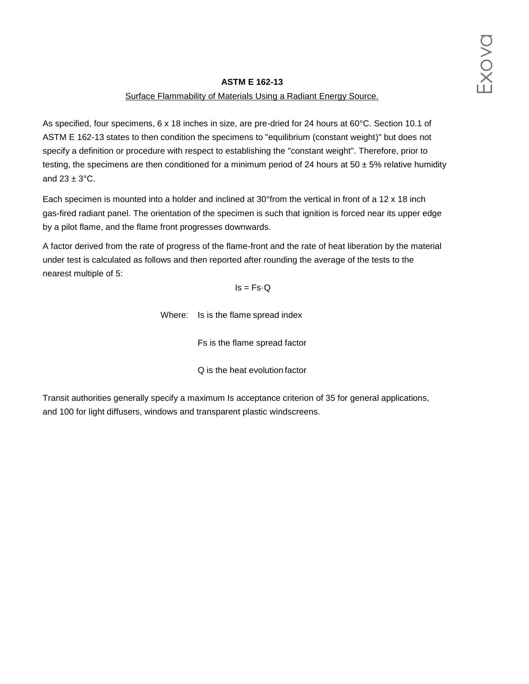### **ASTM E 162-13**

#### Surface Flammability of Materials Using a Radiant Energy Source.

As specified, four specimens, 6 x 18 inches in size, are pre-dried for 24 hours at 60°C. Section 10.1 of ASTM E 162-13 states to then condition the specimens to "equilibrium (constant weight)" but does not specify a definition or procedure with respect to establishing the "constant weight". Therefore, prior to testing, the specimens are then conditioned for a minimum period of 24 hours at 50  $\pm$  5% relative humidity and  $23 \pm 3$ °C.

Each specimen is mounted into a holder and inclined at 30°from the vertical in front of a 12 x 18 inch gas-fired radiant panel. The orientation of the specimen is such that ignition is forced near its upper edge by a pilot flame, and the flame front progresses downwards.

A factor derived from the rate of progress of the flame-front and the rate of heat liberation by the material under test is calculated as follows and then reported after rounding the average of the tests to the nearest multiple of 5:

#### $Is = Fs \cdot Q$

Where: Is is the flame spread index

Fs is the flame spread factor

Q is the heat evolution factor

Transit authorities generally specify a maximum Is acceptance criterion of 35 for general applications, and 100 for light diffusers, windows and transparent plastic windscreens.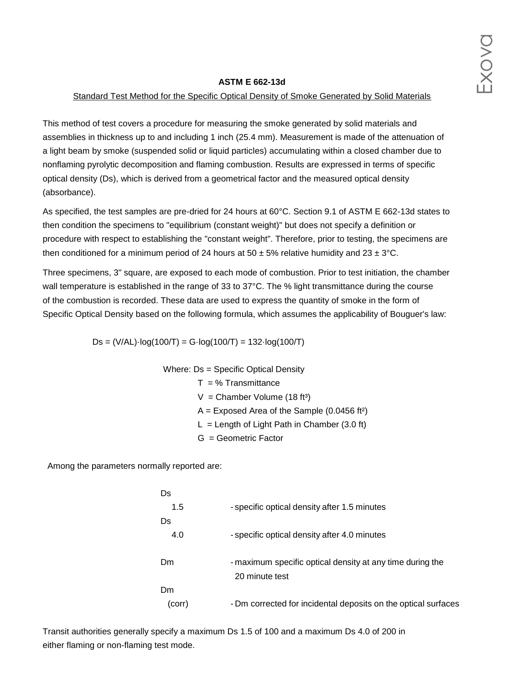#### **ASTM E 662-13d**

#### Standard Test Method for the Specific Optical Density of Smoke Generated by Solid Materials

This method of test covers a procedure for measuring the smoke generated by solid materials and assemblies in thickness up to and including 1 inch (25.4 mm). Measurement is made of the attenuation of a light beam by smoke (suspended solid or liquid particles) accumulating within a closed chamber due to nonflaming pyrolytic decomposition and flaming combustion. Results are expressed in terms of specific optical density (Ds), which is derived from a geometrical factor and the measured optical density (absorbance).

As specified, the test samples are pre-dried for 24 hours at 60°C. Section 9.1 of ASTM E 662-13d states to then condition the specimens to "equilibrium (constant weight)" but does not specify a definition or procedure with respect to establishing the "constant weight". Therefore, prior to testing, the specimens are then conditioned for a minimum period of 24 hours at 50  $\pm$  5% relative humidity and 23  $\pm$  3°C.

Three specimens, 3" square, are exposed to each mode of combustion. Prior to test initiation, the chamber wall temperature is established in the range of 33 to 37°C. The % light transmittance during the course of the combustion is recorded. These data are used to express the quantity of smoke in the form of Specific Optical Density based on the following formula, which assumes the applicability of Bouguer's law:

 $Ds = (V/AL) \cdot log(100/T) = G \cdot log(100/T) = 132 \cdot log(100/T)$ 

Where: Ds = Specific Optical Density

- $T = %$  Transmittance
- $V =$  Chamber Volume (18 ft<sup>3</sup>)
- $A =$  Exposed Area of the Sample (0.0456 ft<sup>2</sup>)
- $L =$  Length of Light Path in Chamber (3.0 ft)
- G = Geometric Factor

Among the parameters normally reported are:

| Ds     |                                                                |
|--------|----------------------------------------------------------------|
| 1.5    | - specific optical density after 1.5 minutes                   |
| Ds     |                                                                |
| 4.0    | - specific optical density after 4.0 minutes                   |
| Dm     | - maximum specific optical density at any time during the      |
|        | 20 minute test                                                 |
| Dm     |                                                                |
| (corr) | - Dm corrected for incidental deposits on the optical surfaces |

Transit authorities generally specify a maximum Ds 1.5 of 100 and a maximum Ds 4.0 of 200 in either flaming or non-flaming test mode.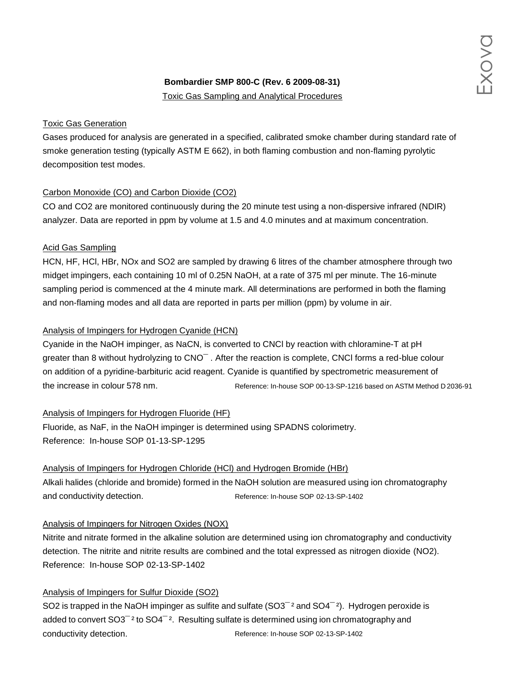# **Bombardier SMP 800-C (Rev. 6 2009-08-31)**

Toxic Gas Sampling and Analytical Procedures

### Toxic Gas Generation

Gases produced for analysis are generated in a specified, calibrated smoke chamber during standard rate of smoke generation testing (typically ASTM E 662), in both flaming combustion and non-flaming pyrolytic decomposition test modes.

# Carbon Monoxide (CO) and Carbon Dioxide (CO2)

CO and CO2 are monitored continuously during the 20 minute test using a non-dispersive infrared (NDIR) analyzer. Data are reported in ppm by volume at 1.5 and 4.0 minutes and at maximum concentration.

# Acid Gas Sampling

HCN, HF, HCl, HBr, NOx and SO2 are sampled by drawing 6 litres of the chamber atmosphere through two midget impingers, each containing 10 ml of 0.25N NaOH, at a rate of 375 ml per minute. The 16-minute sampling period is commenced at the 4 minute mark. All determinations are performed in both the flaming and non-flaming modes and all data are reported in parts per million (ppm) by volume in air.

# Analysis of Impingers for Hydrogen Cyanide (HCN)

Cyanide in the NaOH impinger, as NaCN, is converted to CNCl by reaction with chloramine-T at pH greater than 8 without hydrolyzing to CNO¯ . After the reaction is complete, CNCl forms a red-blue colour on addition of a pyridine-barbituric acid reagent. Cyanide is quantified by spectrometric measurement of the increase in colour 578 nm. Reference: In-house SOP 00-13-SP-1216 based on ASTM Method D 2036-91

Analysis of Impingers for Hydrogen Fluoride (HF)

Fluoride, as NaF, in the NaOH impinger is determined using SPADNS colorimetry. Reference: In-house SOP 01-13-SP-1295

# Analysis of Impingers for Hydrogen Chloride (HCl) and Hydrogen Bromide (HBr)

Alkali halides (chloride and bromide) formed in the NaOH solution are measured using ion chromatography and conductivity detection. The Reference: In-house SOP 02-13-SP-1402

# Analysis of Impingers for Nitrogen Oxides (NOX)

Nitrite and nitrate formed in the alkaline solution are determined using ion chromatography and conductivity detection. The nitrite and nitrite results are combined and the total expressed as nitrogen dioxide (NO2). Reference: In-house SOP 02-13-SP-1402

# Analysis of Impingers for Sulfur Dioxide (SO2)

SO2 is trapped in the NaOH impinger as sulfite and sulfate (SO3<sup>-2</sup> and SO4<sup>-2</sup>). Hydrogen peroxide is added to convert  $SO3^{-2}$  to  $SO4^{-2}$ . Resulting sulfate is determined using ion chromatography and conductivity detection. Reference: In-house SOP 02-13-SP-1402